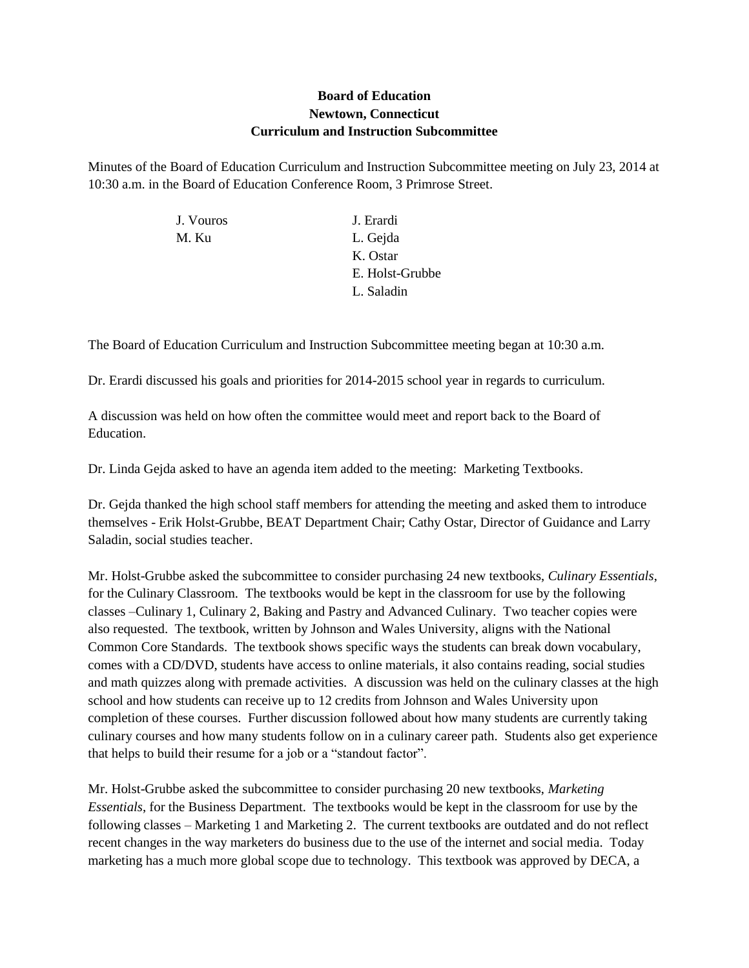## **Board of Education Newtown, Connecticut Curriculum and Instruction Subcommittee**

Minutes of the Board of Education Curriculum and Instruction Subcommittee meeting on July 23, 2014 at 10:30 a.m. in the Board of Education Conference Room, 3 Primrose Street.

| J. Vouros | J. Erardi       |
|-----------|-----------------|
| M. Ku     | L. Gejda        |
|           | K. Ostar        |
|           | E. Holst-Grubbe |
|           | L. Saladin      |
|           |                 |

The Board of Education Curriculum and Instruction Subcommittee meeting began at 10:30 a.m.

Dr. Erardi discussed his goals and priorities for 2014-2015 school year in regards to curriculum.

A discussion was held on how often the committee would meet and report back to the Board of Education.

Dr. Linda Gejda asked to have an agenda item added to the meeting: Marketing Textbooks.

Dr. Gejda thanked the high school staff members for attending the meeting and asked them to introduce themselves - Erik Holst-Grubbe, BEAT Department Chair; Cathy Ostar, Director of Guidance and Larry Saladin, social studies teacher.

Mr. Holst-Grubbe asked the subcommittee to consider purchasing 24 new textbooks, *Culinary Essentials*, for the Culinary Classroom. The textbooks would be kept in the classroom for use by the following classes –Culinary 1, Culinary 2, Baking and Pastry and Advanced Culinary. Two teacher copies were also requested. The textbook, written by Johnson and Wales University, aligns with the National Common Core Standards. The textbook shows specific ways the students can break down vocabulary, comes with a CD/DVD, students have access to online materials, it also contains reading, social studies and math quizzes along with premade activities. A discussion was held on the culinary classes at the high school and how students can receive up to 12 credits from Johnson and Wales University upon completion of these courses. Further discussion followed about how many students are currently taking culinary courses and how many students follow on in a culinary career path. Students also get experience that helps to build their resume for a job or a "standout factor".

Mr. Holst-Grubbe asked the subcommittee to consider purchasing 20 new textbooks, *Marketing Essentials*, for the Business Department. The textbooks would be kept in the classroom for use by the following classes – Marketing 1 and Marketing 2. The current textbooks are outdated and do not reflect recent changes in the way marketers do business due to the use of the internet and social media. Today marketing has a much more global scope due to technology. This textbook was approved by DECA, a